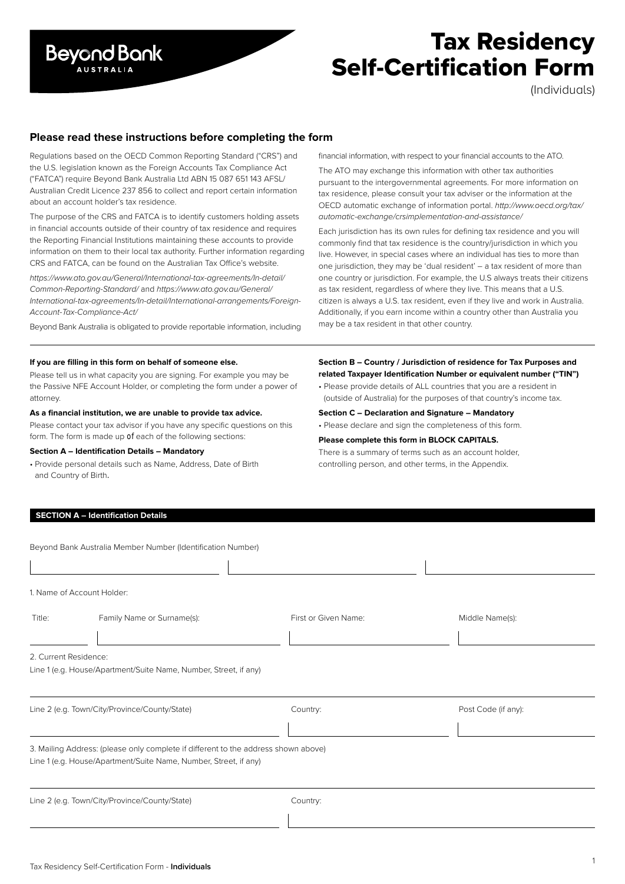

# Tax Residency Self-Certification Form

(Individuals)

## **Please read these instructions before completing the form**

Regulations based on the OECD Common Reporting Standard ("CRS") and the U.S. legislation known as the Foreign Accounts Tax Compliance Act ("FATCA") require Beyond Bank Australia Ltd ABN 15 087 651 143 AFSL/ Australian Credit Licence 237 856 to collect and report certain information about an account holder's tax residence.

The purpose of the CRS and FATCA is to identify customers holding assets in financial accounts outside of their country of tax residence and requires the Reporting Financial Institutions maintaining these accounts to provide information on them to their local tax authority. Further information regarding CRS and FATCA, can be found on the Australian Tax Office's website.

*https://www.ato.gov.au/General/International-tax-agreements/In-detail/ Common-Reporting-Standard/* and *https://www.ato.gov.au/General/ International-tax-agreements/In-detail/International-arrangements/Foreign-Account-Tax-Compliance-Act/*

Beyond Bank Australia is obligated to provide reportable information, including

#### **If you are filling in this form on behalf of someone else.**

Please tell us in what capacity you are signing. For example you may be the Passive NFE Account Holder, or completing the form under a power of attorney.

#### **As a financial institution, we are unable to provide tax advice.**

Please contact your tax advisor if you have any specific questions on this form. The form is made up of each of the following sections:

#### **Section A – Identification Details – Mandatory**

• Provide personal details such as Name, Address, Date of Birth and Country of Birth.

### **SECTION A – Identification Details**

|                       | Beyond Bank Australia Member Number (Identification Number)                                                                                            |                      |                     |
|-----------------------|--------------------------------------------------------------------------------------------------------------------------------------------------------|----------------------|---------------------|
|                       |                                                                                                                                                        |                      |                     |
|                       | 1. Name of Account Holder:                                                                                                                             |                      |                     |
| Title:                | Family Name or Surname(s):                                                                                                                             | First or Given Name: | Middle Name(s):     |
|                       |                                                                                                                                                        |                      |                     |
| 2. Current Residence: | Line 1 (e.g. House/Apartment/Suite Name, Number, Street, if any)                                                                                       |                      |                     |
|                       | Line 2 (e.g. Town/City/Province/County/State)                                                                                                          | Country:             | Post Code (if any): |
|                       | 3. Mailing Address: (please only complete if different to the address shown above)<br>Line 1 (e.g. House/Apartment/Suite Name, Number, Street, if any) |                      |                     |
|                       | Line 2 (e.g. Town/City/Province/County/State)                                                                                                          | Country:             |                     |
|                       |                                                                                                                                                        |                      |                     |

financial information, with respect to your financial accounts to the ATO.

The ATO may exchange this information with other tax authorities pursuant to the intergovernmental agreements. For more information on tax residence, please consult your tax adviser or the information at the OECD automatic exchange of information portal. *http://www.oecd.org/tax/ automatic-exchange/crsimplementation-and-assistance/* 

Each jurisdiction has its own rules for defining tax residence and you will commonly find that tax residence is the country/jurisdiction in which you live. However, in special cases where an individual has ties to more than one jurisdiction, they may be 'dual resident' – a tax resident of more than one country or jurisdiction. For example, the U.S always treats their citizens as tax resident, regardless of where they live. This means that a U.S. citizen is always a U.S. tax resident, even if they live and work in Australia. Additionally, if you earn income within a country other than Australia you may be a tax resident in that other country.

## **Section B – Country / Jurisdiction of residence for Tax Purposes and related Taxpayer Identification Number or equivalent number ("TIN")**

• Please provide details of ALL countries that you are a resident in (outside of Australia) for the purposes of that country's income tax.

**Section C – Declaration and Signature – Mandatory**

• Please declare and sign the completeness of this form.

#### **Please complete this form in BLOCK CAPITALS.**

There is a summary of terms such as an account holder, controlling person, and other terms, in the Appendix.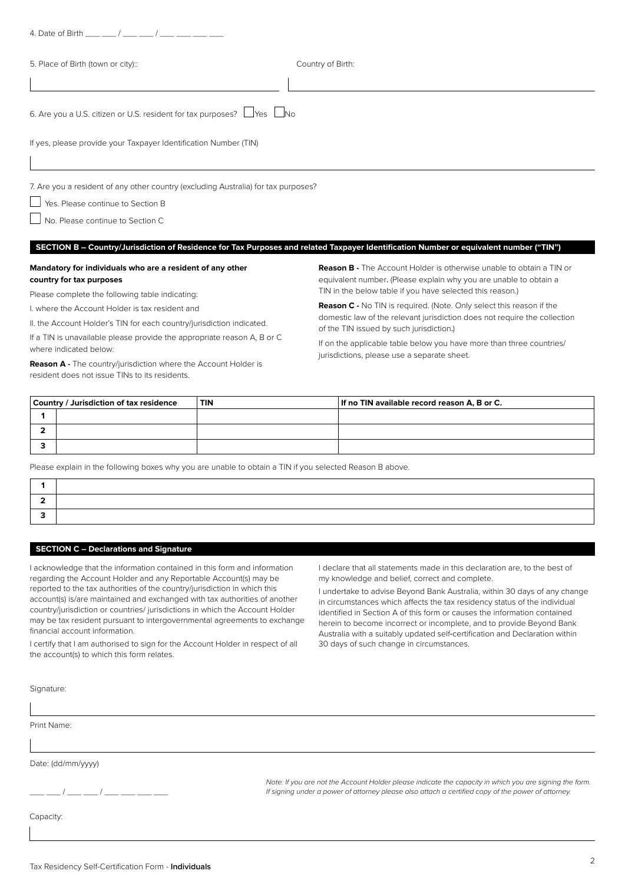| 4. Date of Birth $\frac{1}{2}$ /                                                                                                         |                                                                                                                                                                                                               |
|------------------------------------------------------------------------------------------------------------------------------------------|---------------------------------------------------------------------------------------------------------------------------------------------------------------------------------------------------------------|
| 5. Place of Birth (town or city)::                                                                                                       | Country of Birth:                                                                                                                                                                                             |
|                                                                                                                                          |                                                                                                                                                                                                               |
| 6. Are you a U.S. citizen or U.S. resident for tax purposes? Uyes UNo                                                                    |                                                                                                                                                                                                               |
| If yes, please provide your Taxpayer Identification Number (TIN)                                                                         |                                                                                                                                                                                                               |
| 7. Are you a resident of any other country (excluding Australia) for tax purposes?                                                       |                                                                                                                                                                                                               |
| Yes. Please continue to Section B                                                                                                        |                                                                                                                                                                                                               |
| No. Please continue to Section C                                                                                                         |                                                                                                                                                                                                               |
|                                                                                                                                          | SECTION B - Country/Jurisdiction of Residence for Tax Purposes and related Taxpayer Identification Number or equivalent number ("TIN")                                                                        |
| Mandatory for individuals who are a resident of any other<br>country for tax purposes<br>Please complete the following table indicating: | <b>Reason B -</b> The Account Holder is otherwise unable to obtain a TIN or<br>equivalent number. (Please explain why you are unable to obtain a<br>TIN in the below table if you have selected this reason.) |
| I. where the Account Holder is tax resident and<br>II. the Account Holder's TIN for each country/jurisdiction indicated.                 | <b>Reason C</b> - No TIN is required. (Note. Only select this reason if the<br>domestic law of the relevant jurisdiction does not require the collection<br>of the TIN issued by such jurisdiction.)          |
| If a TIN is unavailable please provide the appropriate reason A, B or C                                                                  | the contract of the contract of the contract of the contract of the contract of the contract of the contract of                                                                                               |

where indicated below:

**Reason A -** The country/jurisdiction where the Account Holder is resident does not issue TINs to its residents.

If on the applicable table below you have more than three countries/ jurisdictions, please use a separate sheet.

| Country / Jurisdiction of tax residence |  | <b>TIN</b> | If no TIN available record reason A, B or C. |
|-----------------------------------------|--|------------|----------------------------------------------|
|                                         |  |            |                                              |
|                                         |  |            |                                              |
|                                         |  |            |                                              |

Please explain in the following boxes why you are unable to obtain a TIN if you selected Reason B above.

## **SECTION C – Declarations and Signature**

I acknowledge that the information contained in this form and information regarding the Account Holder and any Reportable Account(s) may be reported to the tax authorities of the country/jurisdiction in which this account(s) is/are maintained and exchanged with tax authorities of another country/jurisdiction or countries/ jurisdictions in which the Account Holder may be tax resident pursuant to intergovernmental agreements to exchange financial account information.

I certify that I am authorised to sign for the Account Holder in respect of all the account(s) to which this form relates.

I declare that all statements made in this declaration are, to the best of my knowledge and belief, correct and complete.

I undertake to advise Beyond Bank Australia, within 30 days of any change in circumstances which affects the tax residency status of the individual identified in Section A of this form or causes the information contained herein to become incorrect or incomplete, and to provide Beyond Bank Australia with a suitably updated self-certification and Declaration within 30 days of such change in circumstances.

Signature:

Print Name:

Date: (dd/mm/yyyy)

 $\_$  /  $\_$   $\_$  /  $\_$   $\_$ 

*Note: If you are not the Account Holder please indicate the capacity in which you are signing the form. If signing under a power of attorney please also attach a certified copy of the power of attorney.*

Capacity: